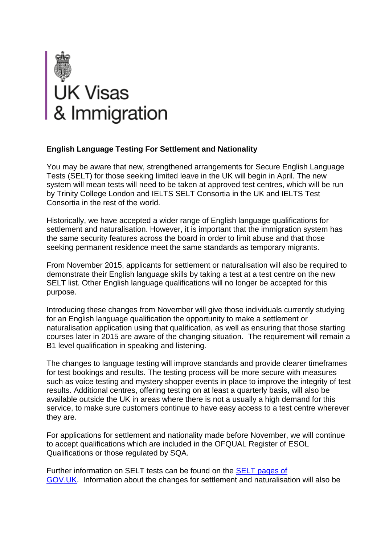

## **English Language Testing For Settlement and Nationality**

You may be aware that new, strengthened arrangements for Secure English Language Tests (SELT) for those seeking limited leave in the UK will begin in April. The new system will mean tests will need to be taken at approved test centres, which will be run by Trinity College London and IELTS SELT Consortia in the UK and IELTS Test Consortia in the rest of the world.

Historically, we have accepted a wider range of English language qualifications for settlement and naturalisation. However, it is important that the immigration system has the same security features across the board in order to limit abuse and that those seeking permanent residence meet the same standards as temporary migrants.

From November 2015, applicants for settlement or naturalisation will also be required to demonstrate their English language skills by taking a test at a test centre on the new SELT list. Other English language qualifications will no longer be accepted for this purpose.

Introducing these changes from November will give those individuals currently studying for an English language qualification the opportunity to make a settlement or naturalisation application using that qualification, as well as ensuring that those starting courses later in 2015 are aware of the changing situation. The requirement will remain a B1 level qualification in speaking and listening.

The changes to language testing will improve standards and provide clearer timeframes for test bookings and results. The testing process will be more secure with measures such as voice testing and mystery shopper events in place to improve the integrity of test results. Additional centres, offering testing on at least a quarterly basis, will also be available outside the UK in areas where there is not a usually a high demand for this service, to make sure customers continue to have easy access to a test centre wherever they are.

For applications for settlement and nationality made before November, we will continue to accept qualifications which are included in the OFQUAL Register of ESOL Qualifications or those regulated by SQA.

Further information on SELT tests can be found on the [SELT pages of](http://www.qbasemail.com/homeoffice/mailresponse.asp?tid=4764&em=4418576&turl=https://www.gov.uk/government/publications/guidance-on-applying-for-uk-visa-approved-english-language-tests)  [GOV.UK.](http://www.qbasemail.com/homeoffice/mailresponse.asp?tid=4764&em=4418576&turl=https://www.gov.uk/government/publications/guidance-on-applying-for-uk-visa-approved-english-language-tests) Information about the changes for settlement and naturalisation will also be